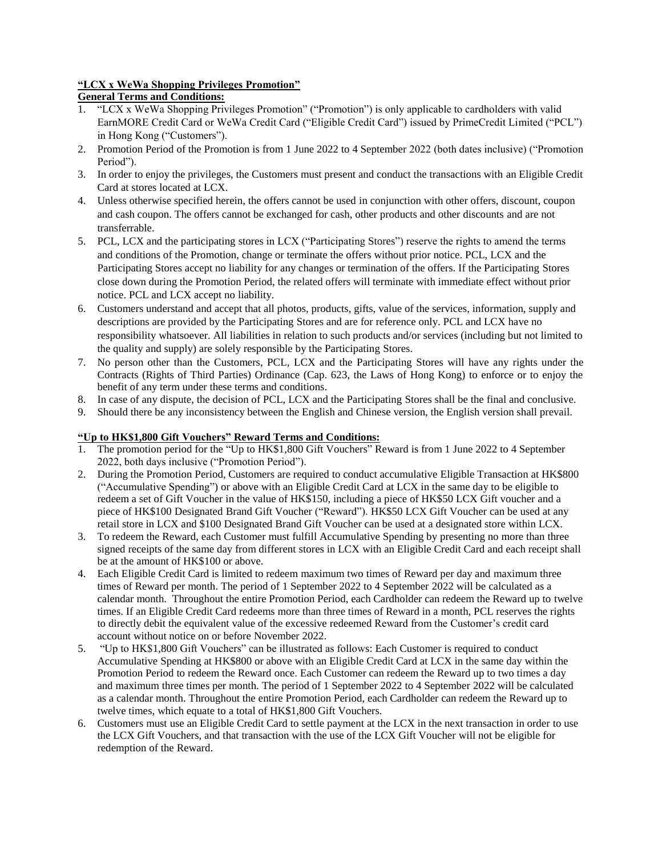## **"LCX x WeWa Shopping Privileges Promotion"**

# **General Terms and Conditions:**

- 1. "LCX x WeWa Shopping Privileges Promotion" ("Promotion") is only applicable to cardholders with valid EarnMORE Credit Card or WeWa Credit Card ("Eligible Credit Card") issued by PrimeCredit Limited ("PCL") in Hong Kong ("Customers").
- 2. Promotion Period of the Promotion is from 1 June 2022 to 4 September 2022 (both dates inclusive) ("Promotion Period").
- 3. In order to enjoy the privileges, the Customers must present and conduct the transactions with an Eligible Credit Card at stores located at LCX.
- 4. Unless otherwise specified herein, the offers cannot be used in conjunction with other offers, discount, coupon and cash coupon. The offers cannot be exchanged for cash, other products and other discounts and are not transferrable.
- 5. PCL, LCX and the participating stores in LCX ("Participating Stores") reserve the rights to amend the terms and conditions of the Promotion, change or terminate the offers without prior notice. PCL, LCX and the Participating Stores accept no liability for any changes or termination of the offers. If the Participating Stores close down during the Promotion Period, the related offers will terminate with immediate effect without prior notice. PCL and LCX accept no liability.
- 6. Customers understand and accept that all photos, products, gifts, value of the services, information, supply and descriptions are provided by the Participating Stores and are for reference only. PCL and LCX have no responsibility whatsoever. All liabilities in relation to such products and/or services (including but not limited to the quality and supply) are solely responsible by the Participating Stores.
- 7. No person other than the Customers, PCL, LCX and the Participating Stores will have any rights under the Contracts (Rights of Third Parties) Ordinance (Cap. 623, the Laws of Hong Kong) to enforce or to enjoy the benefit of any term under these terms and conditions.
- 8. In case of any dispute, the decision of PCL, LCX and the Participating Stores shall be the final and conclusive.
- 9. Should there be any inconsistency between the English and Chinese version, the English version shall prevail.

# **"Up to HK\$1,800 Gift Vouchers" Reward Terms and Conditions:**

- 1. The promotion period for the "Up to HK\$1,800 Gift Vouchers" Reward is from 1 June 2022 to 4 September 2022, both days inclusive ("Promotion Period").
- 2. During the Promotion Period, Customers are required to conduct accumulative Eligible Transaction at HK\$800 ("Accumulative Spending") or above with an Eligible Credit Card at LCX in the same day to be eligible to redeem a set of Gift Voucher in the value of HK\$150, including a piece of HK\$50 LCX Gift voucher and a piece of HK\$100 Designated Brand Gift Voucher ("Reward"). HK\$50 LCX Gift Voucher can be used at any retail store in LCX and \$100 Designated Brand Gift Voucher can be used at a designated store within LCX.
- 3. To redeem the Reward, each Customer must fulfill Accumulative Spending by presenting no more than three signed receipts of the same day from different stores in LCX with an Eligible Credit Card and each receipt shall be at the amount of HK\$100 or above.
- 4. Each Eligible Credit Card is limited to redeem maximum two times of Reward per day and maximum three times of Reward per month. The period of 1 September 2022 to 4 September 2022 will be calculated as a calendar month. Throughout the entire Promotion Period, each Cardholder can redeem the Reward up to twelve times. If an Eligible Credit Card redeems more than three times of Reward in a month, PCL reserves the rights to directly debit the equivalent value of the excessive redeemed Reward from the Customer's credit card account without notice on or before November 2022.
- 5. "Up to HK\$1,800 Gift Vouchers" can be illustrated as follows: Each Customer is required to conduct Accumulative Spending at HK\$800 or above with an Eligible Credit Card at LCX in the same day within the Promotion Period to redeem the Reward once. Each Customer can redeem the Reward up to two times a day and maximum three times per month. The period of 1 September 2022 to 4 September 2022 will be calculated as a calendar month. Throughout the entire Promotion Period, each Cardholder can redeem the Reward up to twelve times, which equate to a total of HK\$1,800 Gift Vouchers.
- 6. Customers must use an Eligible Credit Card to settle payment at the LCX in the next transaction in order to use the LCX Gift Vouchers, and that transaction with the use of the LCX Gift Voucher will not be eligible for redemption of the Reward.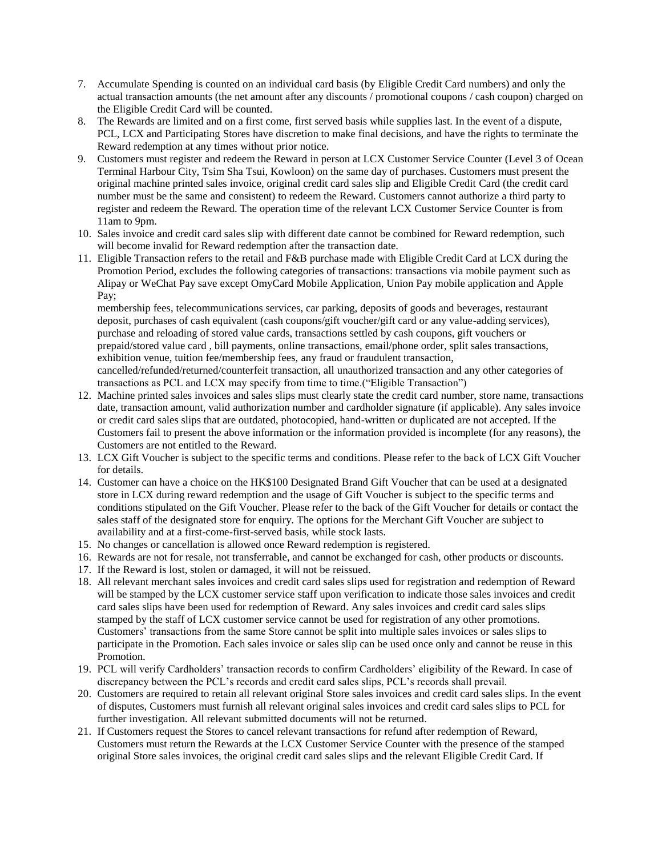- 7. Accumulate Spending is counted on an individual card basis (by Eligible Credit Card numbers) and only the actual transaction amounts (the net amount after any discounts / promotional coupons / cash coupon) charged on the Eligible Credit Card will be counted.
- 8. The Rewards are limited and on a first come, first served basis while supplies last. In the event of a dispute, PCL, LCX and Participating Stores have discretion to make final decisions, and have the rights to terminate the Reward redemption at any times without prior notice.
- 9. Customers must register and redeem the Reward in person at LCX Customer Service Counter (Level 3 of Ocean Terminal Harbour City, Tsim Sha Tsui, Kowloon) on the same day of purchases. Customers must present the original machine printed sales invoice, original credit card sales slip and Eligible Credit Card (the credit card number must be the same and consistent) to redeem the Reward. Customers cannot authorize a third party to register and redeem the Reward. The operation time of the relevant LCX Customer Service Counter is from 11am to 9pm.
- 10. Sales invoice and credit card sales slip with different date cannot be combined for Reward redemption, such will become invalid for Reward redemption after the transaction date.
- 11. Eligible Transaction refers to the retail and F&B purchase made with Eligible Credit Card at LCX during the Promotion Period, excludes the following categories of transactions: transactions via mobile payment such as Alipay or WeChat Pay save except OmyCard Mobile Application, Union Pay mobile application and Apple Pay;

membership fees, telecommunications services, car parking, deposits of goods and beverages, restaurant deposit, purchases of cash equivalent (cash coupons/gift voucher/gift card or any value-adding services), purchase and reloading of stored value cards, transactions settled by cash coupons, gift vouchers or prepaid/stored value card , bill payments, online transactions, email/phone order, split sales transactions, exhibition venue, tuition fee/membership fees, any fraud or fraudulent transaction, cancelled/refunded/returned/counterfeit transaction, all unauthorized transaction and any other categories of transactions as PCL and LCX may specify from time to time.("Eligible Transaction")

- 12. Machine printed sales invoices and sales slips must clearly state the credit card number, store name, transactions date, transaction amount, valid authorization number and cardholder signature (if applicable). Any sales invoice or credit card sales slips that are outdated, photocopied, hand-written or duplicated are not accepted. If the Customers fail to present the above information or the information provided is incomplete (for any reasons), the Customers are not entitled to the Reward.
- 13. LCX Gift Voucher is subject to the specific terms and conditions. Please refer to the back of LCX Gift Voucher for details.
- 14. Customer can have a choice on the HK\$100 Designated Brand Gift Voucher that can be used at a designated store in LCX during reward redemption and the usage of Gift Voucher is subject to the specific terms and conditions stipulated on the Gift Voucher. Please refer to the back of the Gift Voucher for details or contact the sales staff of the designated store for enquiry. The options for the Merchant Gift Voucher are subject to availability and at a first-come-first-served basis, while stock lasts.
- 15. No changes or cancellation is allowed once Reward redemption is registered.
- 16. Rewards are not for resale, not transferrable, and cannot be exchanged for cash, other products or discounts.
- 17. If the Reward is lost, stolen or damaged, it will not be reissued.
- 18. All relevant merchant sales invoices and credit card sales slips used for registration and redemption of Reward will be stamped by the LCX customer service staff upon verification to indicate those sales invoices and credit card sales slips have been used for redemption of Reward. Any sales invoices and credit card sales slips stamped by the staff of LCX customer service cannot be used for registration of any other promotions. Customers' transactions from the same Store cannot be split into multiple sales invoices or sales slips to participate in the Promotion. Each sales invoice or sales slip can be used once only and cannot be reuse in this Promotion.
- 19. PCL will verify Cardholders' transaction records to confirm Cardholders' eligibility of the Reward. In case of discrepancy between the PCL's records and credit card sales slips, PCL's records shall prevail.
- 20. Customers are required to retain all relevant original Store sales invoices and credit card sales slips. In the event of disputes, Customers must furnish all relevant original sales invoices and credit card sales slips to PCL for further investigation. All relevant submitted documents will not be returned.
- 21. If Customers request the Stores to cancel relevant transactions for refund after redemption of Reward, Customers must return the Rewards at the LCX Customer Service Counter with the presence of the stamped original Store sales invoices, the original credit card sales slips and the relevant Eligible Credit Card. If